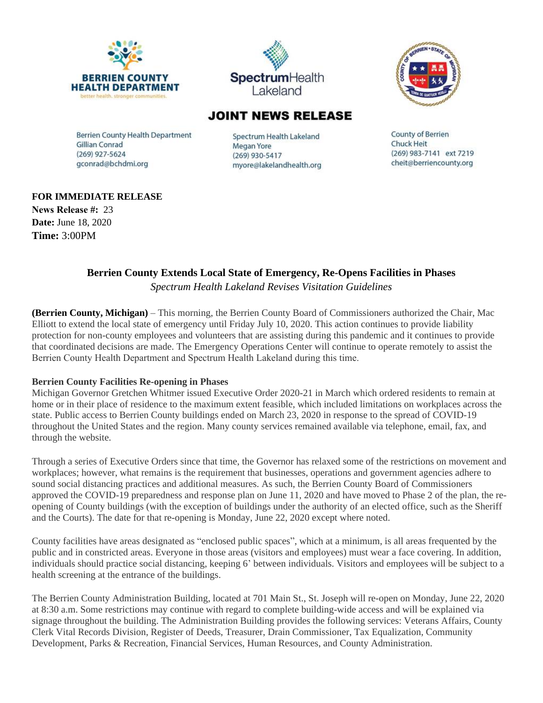





## **JOINT NEWS RELEASE**

**Berrien County Health Department Gillian Conrad** (269) 927-5624 gconrad@bchdmi.org

Spectrum Health Lakeland Megan Yore (269) 930-5417 myore@lakelandhealth.org

**County of Berrien Chuck Heit** (269) 983-7141 ext 7219 cheit@berriencounty.org

### **FOR IMMEDIATE RELEASE**

**News Release #:** 23 **Date:** June 18, 2020 **Time:** 3:00PM

# **Berrien County Extends Local State of Emergency, Re-Opens Facilities in Phases**

*Spectrum Health Lakeland Revises Visitation Guidelines*

**(Berrien County, Michigan)** – This morning, the Berrien County Board of Commissioners authorized the Chair, Mac Elliott to extend the local state of emergency until Friday July 10, 2020. This action continues to provide liability protection for non-county employees and volunteers that are assisting during this pandemic and it continues to provide that coordinated decisions are made. The Emergency Operations Center will continue to operate remotely to assist the Berrien County Health Department and Spectrum Health Lakeland during this time.

### **Berrien County Facilities Re-opening in Phases**

Michigan Governor Gretchen Whitmer issued Executive Order 2020-21 in March which ordered residents to remain at home or in their place of residence to the maximum extent feasible, which included limitations on workplaces across the state. Public access to Berrien County buildings ended on March 23, 2020 in response to the spread of COVID-19 throughout the United States and the region. Many county services remained available via telephone, email, fax, and through the website.

Through a series of Executive Orders since that time, the Governor has relaxed some of the restrictions on movement and workplaces; however, what remains is the requirement that businesses, operations and government agencies adhere to sound social distancing practices and additional measures. As such, the Berrien County Board of Commissioners approved the COVID-19 preparedness and response plan on June 11, 2020 and have moved to Phase 2 of the plan, the reopening of County buildings (with the exception of buildings under the authority of an elected office, such as the Sheriff and the Courts). The date for that re-opening is Monday, June 22, 2020 except where noted.

County facilities have areas designated as "enclosed public spaces", which at a minimum, is all areas frequented by the public and in constricted areas. Everyone in those areas (visitors and employees) must wear a face covering. In addition, individuals should practice social distancing, keeping 6' between individuals. Visitors and employees will be subject to a health screening at the entrance of the buildings.

The Berrien County Administration Building, located at 701 Main St., St. Joseph will re-open on Monday, June 22, 2020 at 8:30 a.m. Some restrictions may continue with regard to complete building-wide access and will be explained via signage throughout the building. The Administration Building provides the following services: Veterans Affairs, County Clerk Vital Records Division, Register of Deeds, Treasurer, Drain Commissioner, Tax Equalization, Community Development, Parks & Recreation, Financial Services, Human Resources, and County Administration.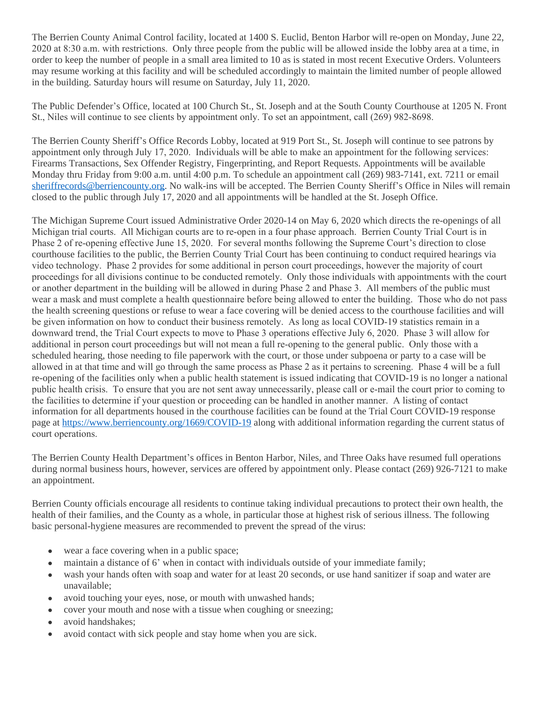The Berrien County Animal Control facility, located at 1400 S. Euclid, Benton Harbor will re-open on Monday, June 22, 2020 at 8:30 a.m. with restrictions. Only three people from the public will be allowed inside the lobby area at a time, in order to keep the number of people in a small area limited to 10 as is stated in most recent Executive Orders. Volunteers may resume working at this facility and will be scheduled accordingly to maintain the limited number of people allowed in the building. Saturday hours will resume on Saturday, July 11, 2020.

The Public Defender's Office, located at 100 Church St., St. Joseph and at the South County Courthouse at 1205 N. Front St., Niles will continue to see clients by appointment only. To set an appointment, call (269) 982-8698.

The Berrien County Sheriff's Office Records Lobby, located at 919 Port St., St. Joseph will continue to see patrons by appointment only through July 17, 2020. Individuals will be able to make an appointment for the following services: Firearms Transactions, Sex Offender Registry, Fingerprinting, and Report Requests. Appointments will be available Monday thru Friday from 9:00 a.m. until 4:00 p.m. To schedule an appointment call (269) 983-7141, ext. 7211 or email [sheriffrecords@berriencounty.org.](mailto:sheriffrecords@berriencounty.org) No walk-ins will be accepted. The Berrien County Sheriff's Office in Niles will remain closed to the public through July 17, 2020 and all appointments will be handled at the St. Joseph Office.

The Michigan Supreme Court issued Administrative Order 2020-14 on May 6, 2020 which directs the re-openings of all Michigan trial courts. All Michigan courts are to re-open in a four phase approach. Berrien County Trial Court is in Phase 2 of re-opening effective June 15, 2020. For several months following the Supreme Court's direction to close courthouse facilities to the public, the Berrien County Trial Court has been continuing to conduct required hearings via video technology. Phase 2 provides for some additional in person court proceedings, however the majority of court proceedings for all divisions continue to be conducted remotely. Only those individuals with appointments with the court or another department in the building will be allowed in during Phase 2 and Phase 3. All members of the public must wear a mask and must complete a health questionnaire before being allowed to enter the building. Those who do not pass the health screening questions or refuse to wear a face covering will be denied access to the courthouse facilities and will be given information on how to conduct their business remotely. As long as local COVID-19 statistics remain in a downward trend, the Trial Court expects to move to Phase 3 operations effective July 6, 2020. Phase 3 will allow for additional in person court proceedings but will not mean a full re-opening to the general public. Only those with a scheduled hearing, those needing to file paperwork with the court, or those under subpoena or party to a case will be allowed in at that time and will go through the same process as Phase 2 as it pertains to screening. Phase 4 will be a full re-opening of the facilities only when a public health statement is issued indicating that COVID-19 is no longer a national public health crisis. To ensure that you are not sent away unnecessarily, please call or e-mail the court prior to coming to the facilities to determine if your question or proceeding can be handled in another manner. A listing of contact information for all departments housed in the courthouse facilities can be found at the Trial Court COVID-19 response page at<https://www.berriencounty.org/1669/COVID-19> along with additional information regarding the current status of court operations.

The Berrien County Health Department's offices in Benton Harbor, Niles, and Three Oaks have resumed full operations during normal business hours, however, services are offered by appointment only. Please contact (269) 926-7121 to make an appointment.

Berrien County officials encourage all residents to continue taking individual precautions to protect their own health, the health of their families, and the County as a whole, in particular those at highest risk of serious illness. The following basic personal-hygiene measures are recommended to prevent the spread of the virus:

- wear a face covering when in a public space;
- maintain a distance of 6' when in contact with individuals outside of your immediate family;
- wash your hands often with soap and water for at least 20 seconds, or use hand sanitizer if soap and water are unavailable;
- avoid touching your eyes, nose, or mouth with unwashed hands;
- cover your mouth and nose with a tissue when coughing or sneezing;
- avoid handshakes:
- avoid contact with sick people and stay home when you are sick.